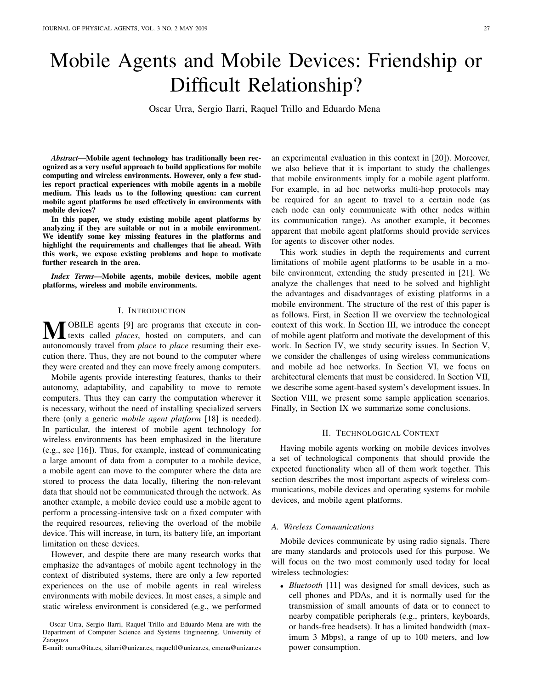# Mobile Agents and Mobile Devices: Friendship or Difficult Relationship?

Oscar Urra, Sergio Ilarri, Raquel Trillo and Eduardo Mena

*Abstract*—Mobile agent technology has traditionally been recognized as a very useful approach to build applications for mobile computing and wireless environments. However, only a few studies report practical experiences with mobile agents in a mobile medium. This leads us to the following question: can current mobile agent platforms be used effectively in environments with mobile devices?

In this paper, we study existing mobile agent platforms by analyzing if they are suitable or not in a mobile environment. We identify some key missing features in the platforms and highlight the requirements and challenges that lie ahead. With this work, we expose existing problems and hope to motivate further research in the area.

*Index Terms*—Mobile agents, mobile devices, mobile agent platforms, wireless and mobile environments.

# I. INTRODUCTION

**TOBILE** agents [9] are programs that execute in contexts called *places*, hosted on computers, and can autonomously travel from *place* to *place* resuming their execution there. Thus, they are not bound to the computer where they were created and they can move freely among computers.

Mobile agents provide interesting features, thanks to their autonomy, adaptability, and capability to move to remote computers. Thus they can carry the computation wherever it is necessary, without the need of installing specialized servers there (only a generic *mobile agent platform* [18] is needed). In particular, the interest of mobile agent technology for wireless environments has been emphasized in the literature (e.g., see [16]). Thus, for example, instead of communicating a large amount of data from a computer to a mobile device, a mobile agent can move to the computer where the data are stored to process the data locally, filtering the non-relevant data that should not be communicated through the network. As another example, a mobile device could use a mobile agent to perform a processing-intensive task on a fixed computer with the required resources, relieving the overload of the mobile device. This will increase, in turn, its battery life, an important limitation on these devices.

However, and despite there are many research works that emphasize the advantages of mobile agent technology in the context of distributed systems, there are only a few reported experiences on the use of mobile agents in real wireless environments with mobile devices. In most cases, a simple and static wireless environment is considered (e.g., we performed

an experimental evaluation in this context in [20]). Moreover, we also believe that it is important to study the challenges that mobile environments imply for a mobile agent platform. For example, in ad hoc networks multi-hop protocols may be required for an agent to travel to a certain node (as each node can only communicate with other nodes within its communication range). As another example, it becomes apparent that mobile agent platforms should provide services for agents to discover other nodes.

This work studies in depth the requirements and current limitations of mobile agent platforms to be usable in a mobile environment, extending the study presented in [21]. We analyze the challenges that need to be solved and highlight the advantages and disadvantages of existing platforms in a mobile environment. The structure of the rest of this paper is as follows. First, in Section II we overview the technological context of this work. In Section III, we introduce the concept of mobile agent platform and motivate the development of this work. In Section IV, we study security issues. In Section V, we consider the challenges of using wireless communications and mobile ad hoc networks. In Section VI, we focus on architectural elements that must be considered. In Section VII, we describe some agent-based system's development issues. In Section VIII, we present some sample application scenarios. Finally, in Section IX we summarize some conclusions.

### II. TECHNOLOGICAL CONTEXT

Having mobile agents working on mobile devices involves a set of technological components that should provide the expected functionality when all of them work together. This section describes the most important aspects of wireless communications, mobile devices and operating systems for mobile devices, and mobile agent platforms.

#### *A. Wireless Communications*

Mobile devices communicate by using radio signals. There are many standards and protocols used for this purpose. We will focus on the two most commonly used today for local wireless technologies:

• *Bluetooth* [11] was designed for small devices, such as cell phones and PDAs, and it is normally used for the transmission of small amounts of data or to connect to nearby compatible peripherals (e.g., printers, keyboards, or hands-free headsets). It has a limited bandwidth (maximum 3 Mbps), a range of up to 100 meters, and low power consumption.

Oscar Urra, Sergio Ilarri, Raquel Trillo and Eduardo Mena are with the Department of Computer Science and Systems Engineering, University of Zaragoza

E-mail: ourra@ita.es, silarri@unizar.es, raqueltl@unizar.es, emena@unizar.es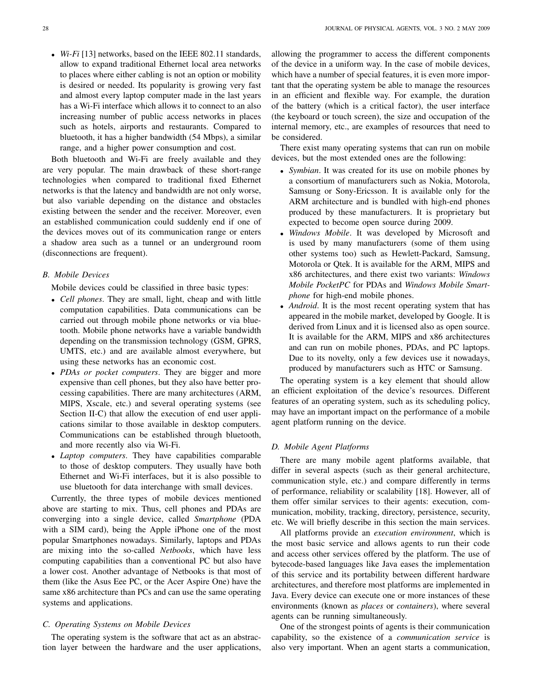• *Wi-Fi* [13] networks, based on the IEEE 802.11 standards, allow to expand traditional Ethernet local area networks to places where either cabling is not an option or mobility is desired or needed. Its popularity is growing very fast and almost every laptop computer made in the last years has a Wi-Fi interface which allows it to connect to an also increasing number of public access networks in places such as hotels, airports and restaurants. Compared to bluetooth, it has a higher bandwidth (54 Mbps), a similar range, and a higher power consumption and cost.

Both bluetooth and Wi-Fi are freely available and they are very popular. The main drawback of these short-range technologies when compared to traditional fixed Ethernet networks is that the latency and bandwidth are not only worse, but also variable depending on the distance and obstacles existing between the sender and the receiver. Moreover, even an established communication could suddenly end if one of the devices moves out of its communication range or enters a shadow area such as a tunnel or an underground room (disconnections are frequent).

# *B. Mobile Devices*

Mobile devices could be classified in three basic types:

- *Cell phones*. They are small, light, cheap and with little computation capabilities. Data communications can be carried out through mobile phone networks or via bluetooth. Mobile phone networks have a variable bandwidth depending on the transmission technology (GSM, GPRS, UMTS, etc.) and are available almost everywhere, but using these networks has an economic cost.
- *PDAs or pocket computers*. They are bigger and more expensive than cell phones, but they also have better processing capabilities. There are many architectures (ARM, MIPS, Xscale, etc.) and several operating systems (see Section II-C) that allow the execution of end user applications similar to those available in desktop computers. Communications can be established through bluetooth, and more recently also via Wi-Fi.
- *Laptop computers*. They have capabilities comparable to those of desktop computers. They usually have both Ethernet and Wi-Fi interfaces, but it is also possible to use bluetooth for data interchange with small devices.

Currently, the three types of mobile devices mentioned above are starting to mix. Thus, cell phones and PDAs are converging into a single device, called *Smartphone* (PDA with a SIM card), being the Apple iPhone one of the most popular Smartphones nowadays. Similarly, laptops and PDAs are mixing into the so-called *Netbooks*, which have less computing capabilities than a conventional PC but also have a lower cost. Another advantage of Netbooks is that most of them (like the Asus Eee PC, or the Acer Aspire One) have the same x86 architecture than PCs and can use the same operating systems and applications.

#### *C. Operating Systems on Mobile Devices*

The operating system is the software that act as an abstraction layer between the hardware and the user applications, allowing the programmer to access the different components of the device in a uniform way. In the case of mobile devices, which have a number of special features, it is even more important that the operating system be able to manage the resources in an efficient and flexible way. For example, the duration of the battery (which is a critical factor), the user interface (the keyboard or touch screen), the size and occupation of the internal memory, etc., are examples of resources that need to be considered.

There exist many operating systems that can run on mobile devices, but the most extended ones are the following:

- *Symbian*. It was created for its use on mobile phones by a consortium of manufacturers such as Nokia, Motorola, Samsung or Sony-Ericsson. It is available only for the ARM architecture and is bundled with high-end phones produced by these manufacturers. It is proprietary but expected to become open source during 2009.
- *Windows Mobile*. It was developed by Microsoft and is used by many manufacturers (some of them using other systems too) such as Hewlett-Packard, Samsung, Motorola or Qtek. It is available for the ARM, MIPS and x86 architectures, and there exist two variants: *Windows Mobile PocketPC* for PDAs and *Windows Mobile Smartphone* for high-end mobile phones.
- *Android*. It is the most recent operating system that has appeared in the mobile market, developed by Google. It is derived from Linux and it is licensed also as open source. It is available for the ARM, MIPS and x86 architectures and can run on mobile phones, PDAs, and PC laptops. Due to its novelty, only a few devices use it nowadays, produced by manufacturers such as HTC or Samsung.

The operating system is a key element that should allow an efficient exploitation of the device's resources. Different features of an operating system, such as its scheduling policy, may have an important impact on the performance of a mobile agent platform running on the device.

# *D. Mobile Agent Platforms*

There are many mobile agent platforms available, that differ in several aspects (such as their general architecture, communication style, etc.) and compare differently in terms of performance, reliability or scalability [18]. However, all of them offer similar services to their agents: execution, communication, mobility, tracking, directory, persistence, security, etc. We will briefly describe in this section the main services.

All platforms provide an *execution environment*, which is the most basic service and allows agents to run their code and access other services offered by the platform. The use of bytecode-based languages like Java eases the implementation of this service and its portability between different hardware architectures, and therefore most platforms are implemented in Java. Every device can execute one or more instances of these environments (known as *places* or *containers*), where several agents can be running simultaneously.

One of the strongest points of agents is their communication capability, so the existence of a *communication service* is also very important. When an agent starts a communication,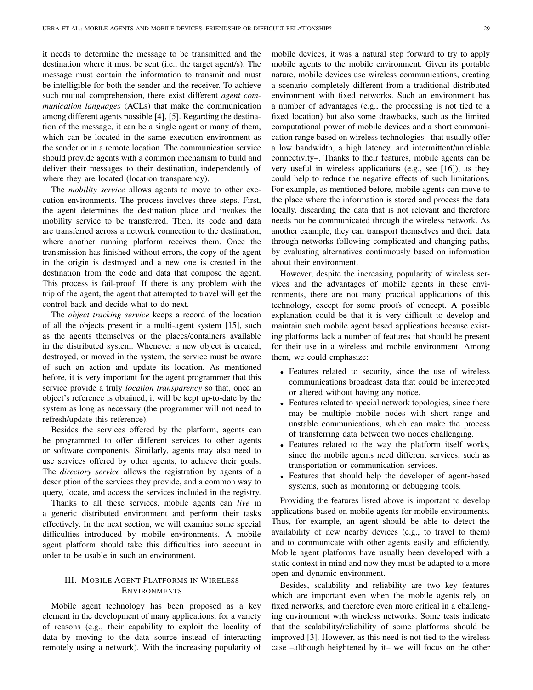it needs to determine the message to be transmitted and the destination where it must be sent (i.e., the target agent/s). The message must contain the information to transmit and must be intelligible for both the sender and the receiver. To achieve such mutual comprehension, there exist different *agent communication languages* (ACLs) that make the communication among different agents possible [4], [5]. Regarding the destination of the message, it can be a single agent or many of them, which can be located in the same execution environment as the sender or in a remote location. The communication service should provide agents with a common mechanism to build and deliver their messages to their destination, independently of where they are located (location transparency).

The *mobility service* allows agents to move to other execution environments. The process involves three steps. First, the agent determines the destination place and invokes the mobility service to be transferred. Then, its code and data are transferred across a network connection to the destination, where another running platform receives them. Once the transmission has finished without errors, the copy of the agent in the origin is destroyed and a new one is created in the destination from the code and data that compose the agent. This process is fail-proof: If there is any problem with the trip of the agent, the agent that attempted to travel will get the control back and decide what to do next.

The *object tracking service* keeps a record of the location of all the objects present in a multi-agent system [15], such as the agents themselves or the places/containers available in the distributed system. Whenever a new object is created, destroyed, or moved in the system, the service must be aware of such an action and update its location. As mentioned before, it is very important for the agent programmer that this service provide a truly *location transparency* so that, once an object's reference is obtained, it will be kept up-to-date by the system as long as necessary (the programmer will not need to refresh/update this reference).

Besides the services offered by the platform, agents can be programmed to offer different services to other agents or software components. Similarly, agents may also need to use services offered by other agents, to achieve their goals. The *directory service* allows the registration by agents of a description of the services they provide, and a common way to query, locate, and access the services included in the registry.

Thanks to all these services, mobile agents can *live* in a generic distributed environment and perform their tasks effectively. In the next section, we will examine some special difficulties introduced by mobile environments. A mobile agent platform should take this difficulties into account in order to be usable in such an environment.

# III. MOBILE AGENT PLATFORMS IN WIRELESS ENVIRONMENTS

Mobile agent technology has been proposed as a key element in the development of many applications, for a variety of reasons (e.g., their capability to exploit the locality of data by moving to the data source instead of interacting remotely using a network). With the increasing popularity of mobile devices, it was a natural step forward to try to apply mobile agents to the mobile environment. Given its portable nature, mobile devices use wireless communications, creating a scenario completely different from a traditional distributed environment with fixed networks. Such an environment has a number of advantages (e.g., the processing is not tied to a fixed location) but also some drawbacks, such as the limited computational power of mobile devices and a short communication range based on wireless technologies –that usually offer a low bandwidth, a high latency, and intermittent/unreliable connectivity–. Thanks to their features, mobile agents can be very useful in wireless applications (e.g., see [16]), as they could help to reduce the negative effects of such limitations. For example, as mentioned before, mobile agents can move to the place where the information is stored and process the data locally, discarding the data that is not relevant and therefore needs not be communicated through the wireless network. As another example, they can transport themselves and their data through networks following complicated and changing paths, by evaluating alternatives continuously based on information about their environment.

However, despite the increasing popularity of wireless services and the advantages of mobile agents in these environments, there are not many practical applications of this technology, except for some proofs of concept. A possible explanation could be that it is very difficult to develop and maintain such mobile agent based applications because existing platforms lack a number of features that should be present for their use in a wireless and mobile environment. Among them, we could emphasize:

- Features related to security, since the use of wireless communications broadcast data that could be intercepted or altered without having any notice.
- Features related to special network topologies, since there may be multiple mobile nodes with short range and unstable communications, which can make the process of transferring data between two nodes challenging.
- Features related to the way the platform itself works, since the mobile agents need different services, such as transportation or communication services.
- Features that should help the developer of agent-based systems, such as monitoring or debugging tools.

Providing the features listed above is important to develop applications based on mobile agents for mobile environments. Thus, for example, an agent should be able to detect the availability of new nearby devices (e.g., to travel to them) and to communicate with other agents easily and efficiently. Mobile agent platforms have usually been developed with a static context in mind and now they must be adapted to a more open and dynamic environment.

Besides, scalability and reliability are two key features which are important even when the mobile agents rely on fixed networks, and therefore even more critical in a challenging environment with wireless networks. Some tests indicate that the scalability/reliability of some platforms should be improved [3]. However, as this need is not tied to the wireless case –although heightened by it– we will focus on the other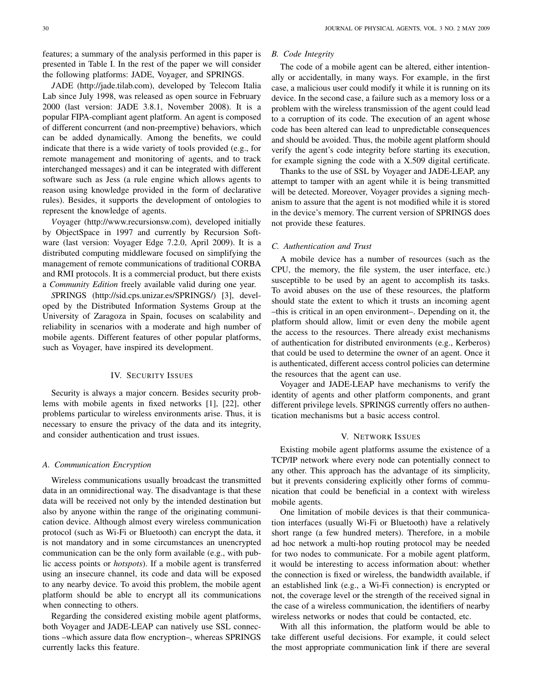features; a summary of the analysis performed in this paper is presented in Table I. In the rest of the paper we will consider the following platforms: JADE, Voyager, and SPRINGS.

*J*ADE (http://jade.tilab.com), developed by Telecom Italia Lab since July 1998, was released as open source in February 2000 (last version: JADE 3.8.1, November 2008). It is a popular FIPA-compliant agent platform. An agent is composed of different concurrent (and non-preemptive) behaviors, which can be added dynamically. Among the benefits, we could indicate that there is a wide variety of tools provided (e.g., for remote management and monitoring of agents, and to track interchanged messages) and it can be integrated with different software such as Jess (a rule engine which allows agents to reason using knowledge provided in the form of declarative rules). Besides, it supports the development of ontologies to represent the knowledge of agents.

*V*oyager (http://www.recursionsw.com), developed initially by ObjectSpace in 1997 and currently by Recursion Software (last version: Voyager Edge 7.2.0, April 2009). It is a distributed computing middleware focused on simplifying the management of remote communications of traditional CORBA and RMI protocols. It is a commercial product, but there exists a *Community Edition* freely available valid during one year.

*S*PRINGS (http://sid.cps.unizar.es/SPRINGS/) [3], developed by the Distributed Information Systems Group at the University of Zaragoza in Spain, focuses on scalability and reliability in scenarios with a moderate and high number of mobile agents. Different features of other popular platforms, such as Voyager, have inspired its development.

# IV. SECURITY ISSUES

Security is always a major concern. Besides security problems with mobile agents in fixed networks [1], [22], other problems particular to wireless environments arise. Thus, it is necessary to ensure the privacy of the data and its integrity, and consider authentication and trust issues.

# *A. Communication Encryption*

Wireless communications usually broadcast the transmitted data in an omnidirectional way. The disadvantage is that these data will be received not only by the intended destination but also by anyone within the range of the originating communication device. Although almost every wireless communication protocol (such as Wi-Fi or Bluetooth) can encrypt the data, it is not mandatory and in some circumstances an unencrypted communication can be the only form available (e.g., with public access points or *hotspots*). If a mobile agent is transferred using an insecure channel, its code and data will be exposed to any nearby device. To avoid this problem, the mobile agent platform should be able to encrypt all its communications when connecting to others.

Regarding the considered existing mobile agent platforms, both Voyager and JADE-LEAP can natively use SSL connections –which assure data flow encryption–, whereas SPRINGS currently lacks this feature.

# *B. Code Integrity*

The code of a mobile agent can be altered, either intentionally or accidentally, in many ways. For example, in the first case, a malicious user could modify it while it is running on its device. In the second case, a failure such as a memory loss or a problem with the wireless transmission of the agent could lead to a corruption of its code. The execution of an agent whose code has been altered can lead to unpredictable consequences and should be avoided. Thus, the mobile agent platform should verify the agent's code integrity before starting its execution, for example signing the code with a X.509 digital certificate.

Thanks to the use of SSL by Voyager and JADE-LEAP, any attempt to tamper with an agent while it is being transmitted will be detected. Moreover, Voyager provides a signing mechanism to assure that the agent is not modified while it is stored in the device's memory. The current version of SPRINGS does not provide these features.

# *C. Authentication and Trust*

A mobile device has a number of resources (such as the CPU, the memory, the file system, the user interface, etc.) susceptible to be used by an agent to accomplish its tasks. To avoid abuses on the use of these resources, the platform should state the extent to which it trusts an incoming agent –this is critical in an open environment–. Depending on it, the platform should allow, limit or even deny the mobile agent the access to the resources. There already exist mechanisms of authentication for distributed environments (e.g., Kerberos) that could be used to determine the owner of an agent. Once it is authenticated, different access control policies can determine the resources that the agent can use.

Voyager and JADE-LEAP have mechanisms to verify the identity of agents and other platform components, and grant different privilege levels. SPRINGS currently offers no authentication mechanisms but a basic access control.

## V. NETWORK ISSUES

Existing mobile agent platforms assume the existence of a TCP/IP network where every node can potentially connect to any other. This approach has the advantage of its simplicity, but it prevents considering explicitly other forms of communication that could be beneficial in a context with wireless mobile agents.

One limitation of mobile devices is that their communication interfaces (usually Wi-Fi or Bluetooth) have a relatively short range (a few hundred meters). Therefore, in a mobile ad hoc network a multi-hop routing protocol may be needed for two nodes to communicate. For a mobile agent platform, it would be interesting to access information about: whether the connection is fixed or wireless, the bandwidth available, if an established link (e.g., a Wi-Fi connection) is encrypted or not, the coverage level or the strength of the received signal in the case of a wireless communication, the identifiers of nearby wireless networks or nodes that could be contacted, etc.

With all this information, the platform would be able to take different useful decisions. For example, it could select the most appropriate communication link if there are several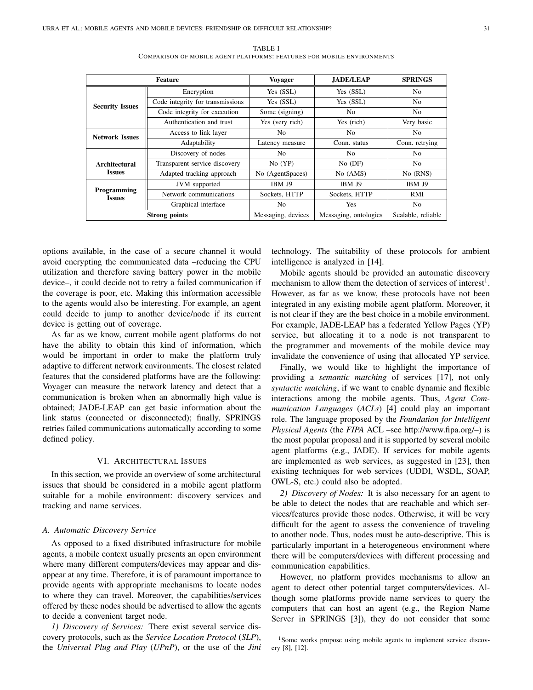| <b>Feature</b>                 |                                  | <b>Voyager</b>     | <b>JADE/LEAP</b>      | <b>SPRINGS</b>     |
|--------------------------------|----------------------------------|--------------------|-----------------------|--------------------|
| <b>Security Issues</b>         | Encryption                       | Yes (SSL)          | Yes (SSL)             | N <sub>0</sub>     |
|                                | Code integrity for transmissions | Yes (SSL)          | Yes (SSL)             | N <sub>0</sub>     |
|                                | Code integrity for execution     | Some (signing)     | N <sub>0</sub>        | No.                |
|                                | Authentication and trust         | Yes (very rich)    | Yes (rich)            | Very basic         |
| <b>Network Issues</b>          | Access to link layer             | No                 | N <sub>0</sub>        | No                 |
|                                | Adaptability                     | Latency measure    | Conn. status          | Conn. retrying     |
|                                | Discovery of nodes               | No.                | N <sub>0</sub>        | N <sub>0</sub>     |
| Architectural<br><b>Issues</b> | Transparent service discovery    | $No$ $(YP)$        | $No$ (DF)             | No                 |
|                                | Adapted tracking approach        | No (AgentSpaces)   | No (AMS)              | $No$ (RNS)         |
| Programming<br><b>Issues</b>   | JVM supported                    | IBM J9             | <b>IBM J9</b>         | IBM J9             |
|                                | Network communications           | Sockets, HTTP      | Sockets, HTTP         | RMI                |
|                                | Graphical interface              | N <sub>0</sub>     | Yes                   | No                 |
| <b>Strong points</b>           |                                  | Messaging, devices | Messaging, ontologies | Scalable, reliable |

TABLE I COMPARISON OF MOBILE AGENT PLATFORMS: FEATURES FOR MOBILE ENVIRONMENTS

options available, in the case of a secure channel it would avoid encrypting the communicated data –reducing the CPU utilization and therefore saving battery power in the mobile device–, it could decide not to retry a failed communication if the coverage is poor, etc. Making this information accessible to the agents would also be interesting. For example, an agent could decide to jump to another device/node if its current device is getting out of coverage.

As far as we know, current mobile agent platforms do not have the ability to obtain this kind of information, which would be important in order to make the platform truly adaptive to different network environments. The closest related features that the considered platforms have are the following: Voyager can measure the network latency and detect that a communication is broken when an abnormally high value is obtained; JADE-LEAP can get basic information about the link status (connected or disconnected); finally, SPRINGS retries failed communications automatically according to some defined policy.

# VI. ARCHITECTURAL ISSUES

In this section, we provide an overview of some architectural issues that should be considered in a mobile agent platform suitable for a mobile environment: discovery services and tracking and name services.

# *A. Automatic Discovery Service*

As opposed to a fixed distributed infrastructure for mobile agents, a mobile context usually presents an open environment where many different computers/devices may appear and disappear at any time. Therefore, it is of paramount importance to provide agents with appropriate mechanisms to locate nodes to where they can travel. Moreover, the capabilities/services offered by these nodes should be advertised to allow the agents to decide a convenient target node.

*1) Discovery of Services:* There exist several service discovery protocols, such as the *Service Location Protocol* (*SLP*), the *Universal Plug and Play* (*UPnP*), or the use of the *Jini* technology. The suitability of these protocols for ambient intelligence is analyzed in [14].

Mobile agents should be provided an automatic discovery mechanism to allow them the detection of services of interest<sup>1</sup>. However, as far as we know, these protocols have not been integrated in any existing mobile agent platform. Moreover, it is not clear if they are the best choice in a mobile environment. For example, JADE-LEAP has a federated Yellow Pages (YP) service, but allocating it to a node is not transparent to the programmer and movements of the mobile device may invalidate the convenience of using that allocated YP service.

Finally, we would like to highlight the importance of providing a *semantic matching* of services [17], not only *syntactic matching*, if we want to enable dynamic and flexible interactions among the mobile agents. Thus, *Agent Communication Languages* (*ACLs*) [4] could play an important role. The language proposed by the *Foundation for Intelligent Physical Agents* (the *FIPA* ACL –see http://www.fipa.org/–) is the most popular proposal and it is supported by several mobile agent platforms (e.g., JADE). If services for mobile agents are implemented as web services, as suggested in [23], then existing techniques for web services (UDDI, WSDL, SOAP, OWL-S, etc.) could also be adopted.

*2) Discovery of Nodes:* It is also necessary for an agent to be able to detect the nodes that are reachable and which services/features provide those nodes. Otherwise, it will be very difficult for the agent to assess the convenience of traveling to another node. Thus, nodes must be auto-descriptive. This is particularly important in a heterogeneous environment where there will be computers/devices with different processing and communication capabilities.

However, no platform provides mechanisms to allow an agent to detect other potential target computers/devices. Although some platforms provide name services to query the computers that can host an agent (e.g., the Region Name Server in SPRINGS [3]), they do not consider that some

<sup>&</sup>lt;sup>1</sup>Some works propose using mobile agents to implement service discovery [8], [12].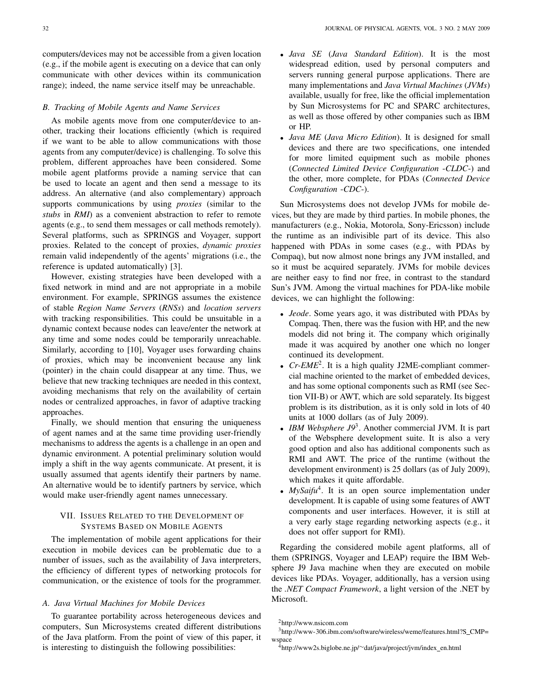computers/devices may not be accessible from a given location (e.g., if the mobile agent is executing on a device that can only communicate with other devices within its communication range); indeed, the name service itself may be unreachable.

#### *B. Tracking of Mobile Agents and Name Services*

As mobile agents move from one computer/device to another, tracking their locations efficiently (which is required if we want to be able to allow communications with those agents from any computer/device) is challenging. To solve this problem, different approaches have been considered. Some mobile agent platforms provide a naming service that can be used to locate an agent and then send a message to its address. An alternative (and also complementary) approach supports communications by using *proxies* (similar to the *stubs* in *RMI*) as a convenient abstraction to refer to remote agents (e.g., to send them messages or call methods remotely). Several platforms, such as SPRINGS and Voyager, support proxies. Related to the concept of proxies, *dynamic proxies* remain valid independently of the agents' migrations (i.e., the reference is updated automatically) [3].

However, existing strategies have been developed with a fixed network in mind and are not appropriate in a mobile environment. For example, SPRINGS assumes the existence of stable *Region Name Servers* (*RNSs*) and *location servers* with tracking responsibilities. This could be unsuitable in a dynamic context because nodes can leave/enter the network at any time and some nodes could be temporarily unreachable. Similarly, according to [10], Voyager uses forwarding chains of proxies, which may be inconvenient because any link (pointer) in the chain could disappear at any time. Thus, we believe that new tracking techniques are needed in this context, avoiding mechanisms that rely on the availability of certain nodes or centralized approaches, in favor of adaptive tracking approaches.

Finally, we should mention that ensuring the uniqueness of agent names and at the same time providing user-friendly mechanisms to address the agents is a challenge in an open and dynamic environment. A potential preliminary solution would imply a shift in the way agents communicate. At present, it is usually assumed that agents identify their partners by name. An alternative would be to identify partners by service, which would make user-friendly agent names unnecessary.

# VII. ISSUES RELATED TO THE DEVELOPMENT OF SYSTEMS BASED ON MOBILE AGENTS

The implementation of mobile agent applications for their execution in mobile devices can be problematic due to a number of issues, such as the availability of Java interpreters, the efficiency of different types of networking protocols for communication, or the existence of tools for the programmer.

# *A. Java Virtual Machines for Mobile Devices*

To guarantee portability across heterogeneous devices and computers, Sun Microsystems created different distributions of the Java platform. From the point of view of this paper, it is interesting to distinguish the following possibilities:

- *Java SE* (*Java Standard Edition*). It is the most widespread edition, used by personal computers and servers running general purpose applications. There are many implementations and *Java Virtual Machines* (*JVMs*) available, usually for free, like the official implementation by Sun Microsystems for PC and SPARC architectures, as well as those offered by other companies such as IBM or HP.
- *Java ME* (*Java Micro Edition*). It is designed for small devices and there are two specifications, one intended for more limited equipment such as mobile phones (*Connected Limited Device Configuration* -*CLDC*-) and the other, more complete, for PDAs (*Connected Device Configuration* -*CDC*-).

Sun Microsystems does not develop JVMs for mobile devices, but they are made by third parties. In mobile phones, the manufacturers (e.g., Nokia, Motorola, Sony-Ericsson) include the runtime as an indivisible part of its device. This also happened with PDAs in some cases (e.g., with PDAs by Compaq), but now almost none brings any JVM installed, and so it must be acquired separately. JVMs for mobile devices are neither easy to find nor free, in contrast to the standard Sun's JVM. Among the virtual machines for PDA-like mobile devices, we can highlight the following:

- *Jeode*. Some years ago, it was distributed with PDAs by Compaq. Then, there was the fusion with HP, and the new models did not bring it. The company which originally made it was acquired by another one which no longer continued its development.
- *Cr-EME*<sup>2</sup>. It is a high quality J2ME-compliant commercial machine oriented to the market of embedded devices, and has some optional components such as RMI (see Section VII-B) or AWT, which are sold separately. Its biggest problem is its distribution, as it is only sold in lots of 40 units at 1000 dollars (as of July 2009).
- *IBM Websphere J9*<sup>3</sup> . Another commercial JVM. It is part of the Websphere development suite. It is also a very good option and also has additional components such as RMI and AWT. The price of the runtime (without the development environment) is 25 dollars (as of July 2009), which makes it quite affordable.
- *MySaifu<sup>4</sup>*. It is an open source implementation under development. It is capable of using some features of AWT components and user interfaces. However, it is still at a very early stage regarding networking aspects (e.g., it does not offer support for RMI).

Regarding the considered mobile agent platforms, all of them (SPRINGS, Voyager and LEAP) require the IBM Websphere J9 Java machine when they are executed on mobile devices like PDAs. Voyager, additionally, has a version using the *.NET Compact Framework*, a light version of the .NET by Microsoft.

<sup>4</sup>http://www2s.biglobe.ne.jp/~dat/java/project/jvm/index\_en.html

<sup>2</sup>http://www.nsicom.com

<sup>&</sup>lt;sup>3</sup>http://www-306.ibm.com/software/wireless/weme/features.html?S\_CMP= wspace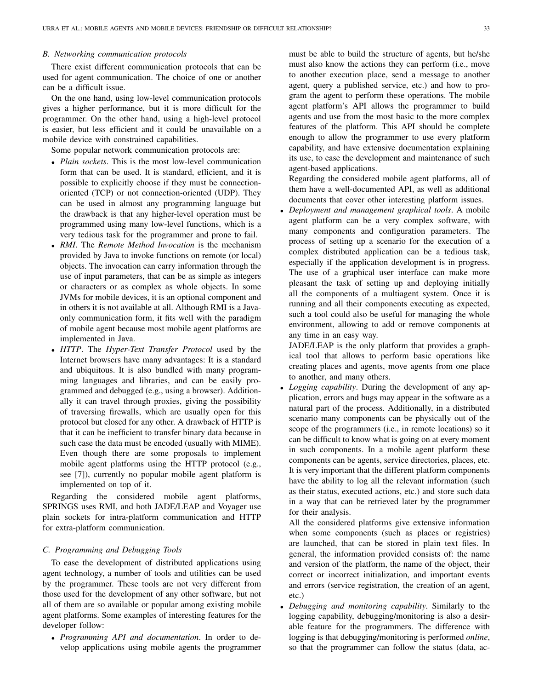# *B. Networking communication protocols*

There exist different communication protocols that can be used for agent communication. The choice of one or another can be a difficult issue.

On the one hand, using low-level communication protocols gives a higher performance, but it is more difficult for the programmer. On the other hand, using a high-level protocol is easier, but less efficient and it could be unavailable on a mobile device with constrained capabilities.

Some popular network communication protocols are:

- *Plain sockets*. This is the most low-level communication form that can be used. It is standard, efficient, and it is possible to explicitly choose if they must be connectionoriented (TCP) or not connection-oriented (UDP). They can be used in almost any programming language but the drawback is that any higher-level operation must be programmed using many low-level functions, which is a very tedious task for the programmer and prone to fail.
- *RMI*. The *Remote Method Invocation* is the mechanism provided by Java to invoke functions on remote (or local) objects. The invocation can carry information through the use of input parameters, that can be as simple as integers or characters or as complex as whole objects. In some JVMs for mobile devices, it is an optional component and in others it is not available at all. Although RMI is a Javaonly communication form, it fits well with the paradigm of mobile agent because most mobile agent platforms are implemented in Java.
- *HTTP*. The *Hyper-Text Transfer Protocol* used by the Internet browsers have many advantages: It is a standard and ubiquitous. It is also bundled with many programming languages and libraries, and can be easily programmed and debugged (e.g., using a browser). Additionally it can travel through proxies, giving the possibility of traversing firewalls, which are usually open for this protocol but closed for any other. A drawback of HTTP is that it can be inefficient to transfer binary data because in such case the data must be encoded (usually with MIME). Even though there are some proposals to implement mobile agent platforms using the HTTP protocol (e.g., see [7]), currently no popular mobile agent platform is implemented on top of it.

Regarding the considered mobile agent platforms, SPRINGS uses RMI, and both JADE/LEAP and Voyager use plain sockets for intra-platform communication and HTTP for extra-platform communication.

# *C. Programming and Debugging Tools*

To ease the development of distributed applications using agent technology, a number of tools and utilities can be used by the programmer. These tools are not very different from those used for the development of any other software, but not all of them are so available or popular among existing mobile agent platforms. Some examples of interesting features for the developer follow:

• *Programming API and documentation*. In order to develop applications using mobile agents the programmer must be able to build the structure of agents, but he/she must also know the actions they can perform (i.e., move to another execution place, send a message to another agent, query a published service, etc.) and how to program the agent to perform these operations. The mobile agent platform's API allows the programmer to build agents and use from the most basic to the more complex features of the platform. This API should be complete enough to allow the programmer to use every platform capability, and have extensive documentation explaining its use, to ease the development and maintenance of such agent-based applications.

Regarding the considered mobile agent platforms, all of them have a well-documented API, as well as additional documents that cover other interesting platform issues.

• *Deployment and management graphical tools*. A mobile agent platform can be a very complex software, with many components and configuration parameters. The process of setting up a scenario for the execution of a complex distributed application can be a tedious task, especially if the application development is in progress. The use of a graphical user interface can make more pleasant the task of setting up and deploying initially all the components of a multiagent system. Once it is running and all their components executing as expected, such a tool could also be useful for managing the whole environment, allowing to add or remove components at any time in an easy way.

JADE/LEAP is the only platform that provides a graphical tool that allows to perform basic operations like creating places and agents, move agents from one place to another, and many others.

• *Logging capability*. During the development of any application, errors and bugs may appear in the software as a natural part of the process. Additionally, in a distributed scenario many components can be physically out of the scope of the programmers (i.e., in remote locations) so it can be difficult to know what is going on at every moment in such components. In a mobile agent platform these components can be agents, service directories, places, etc. It is very important that the different platform components have the ability to log all the relevant information (such as their status, executed actions, etc.) and store such data in a way that can be retrieved later by the programmer for their analysis.

All the considered platforms give extensive information when some components (such as places or registries) are launched, that can be stored in plain text files. In general, the information provided consists of: the name and version of the platform, the name of the object, their correct or incorrect initialization, and important events and errors (service registration, the creation of an agent, etc.)

• *Debugging and monitoring capability*. Similarly to the logging capability, debugging/monitoring is also a desirable feature for the programmers. The difference with logging is that debugging/monitoring is performed *online*, so that the programmer can follow the status (data, ac-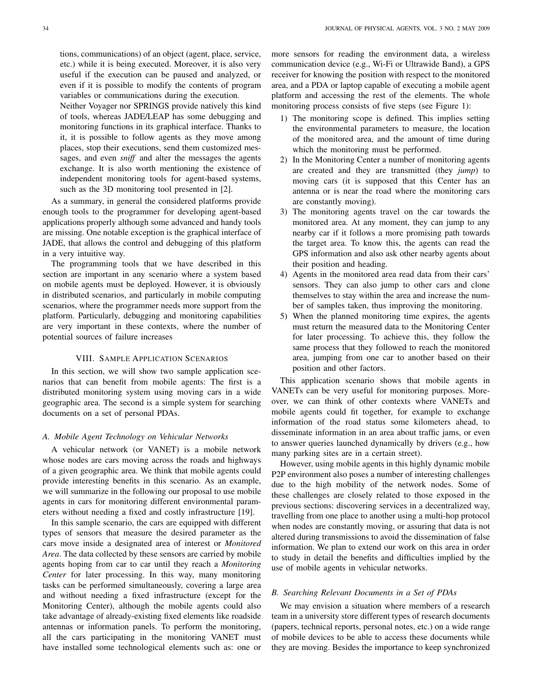tions, communications) of an object (agent, place, service, etc.) while it is being executed. Moreover, it is also very useful if the execution can be paused and analyzed, or even if it is possible to modify the contents of program variables or communications during the execution.

Neither Voyager nor SPRINGS provide natively this kind of tools, whereas JADE/LEAP has some debugging and monitoring functions in its graphical interface. Thanks to it, it is possible to follow agents as they move among places, stop their executions, send them customized messages, and even *sniff* and alter the messages the agents exchange. It is also worth mentioning the existence of independent monitoring tools for agent-based systems, such as the 3D monitoring tool presented in [2].

As a summary, in general the considered platforms provide enough tools to the programmer for developing agent-based applications properly although some advanced and handy tools are missing. One notable exception is the graphical interface of JADE, that allows the control and debugging of this platform in a very intuitive way.

The programming tools that we have described in this section are important in any scenario where a system based on mobile agents must be deployed. However, it is obviously in distributed scenarios, and particularly in mobile computing scenarios, where the programmer needs more support from the platform. Particularly, debugging and monitoring capabilities are very important in these contexts, where the number of potential sources of failure increases

### VIII. SAMPLE APPLICATION SCENARIOS

In this section, we will show two sample application scenarios that can benefit from mobile agents: The first is a distributed monitoring system using moving cars in a wide geographic area. The second is a simple system for searching documents on a set of personal PDAs.

# *A. Mobile Agent Technology on Vehicular Networks*

A vehicular network (or VANET) is a mobile network whose nodes are cars moving across the roads and highways of a given geographic area. We think that mobile agents could provide interesting benefits in this scenario. As an example, we will summarize in the following our proposal to use mobile agents in cars for monitoring different environmental parameters without needing a fixed and costly infrastructure [19].

In this sample scenario, the cars are equipped with different types of sensors that measure the desired parameter as the cars move inside a designated area of interest or *Monitored Area*. The data collected by these sensors are carried by mobile agents hoping from car to car until they reach a *Monitoring Center* for later processing. In this way, many monitoring tasks can be performed simultaneously, covering a large area and without needing a fixed infrastructure (except for the Monitoring Center), although the mobile agents could also take advantage of already-existing fixed elements like roadside antennas or information panels. To perform the monitoring, all the cars participating in the monitoring VANET must have installed some technological elements such as: one or

more sensors for reading the environment data, a wireless communication device (e.g., Wi-Fi or Ultrawide Band), a GPS receiver for knowing the position with respect to the monitored area, and a PDA or laptop capable of executing a mobile agent platform and accessing the rest of the elements. The whole monitoring process consists of five steps (see Figure 1):

- 1) The monitoring scope is defined. This implies setting the environmental parameters to measure, the location of the monitored area, and the amount of time during which the monitoring must be performed.
- 2) In the Monitoring Center a number of monitoring agents are created and they are transmitted (they *jump*) to moving cars (it is supposed that this Center has an antenna or is near the road where the monitoring cars are constantly moving).
- 3) The monitoring agents travel on the car towards the monitored area. At any moment, they can jump to any nearby car if it follows a more promising path towards the target area. To know this, the agents can read the GPS information and also ask other nearby agents about their position and heading.
- 4) Agents in the monitored area read data from their cars' sensors. They can also jump to other cars and clone themselves to stay within the area and increase the number of samples taken, thus improving the monitoring.
- 5) When the planned monitoring time expires, the agents must return the measured data to the Monitoring Center for later processing. To achieve this, they follow the same process that they followed to reach the monitored area, jumping from one car to another based on their position and other factors.

This application scenario shows that mobile agents in VANETs can be very useful for monitoring purposes. Moreover, we can think of other contexts where VANETs and mobile agents could fit together, for example to exchange information of the road status some kilometers ahead, to disseminate information in an area about traffic jams, or even to answer queries launched dynamically by drivers (e.g., how many parking sites are in a certain street).

However, using mobile agents in this highly dynamic mobile P2P environment also poses a number of interesting challenges due to the high mobility of the network nodes. Some of these challenges are closely related to those exposed in the previous sections: discovering services in a decentralized way, travelling from one place to another using a multi-hop protocol when nodes are constantly moving, or assuring that data is not altered during transmissions to avoid the dissemination of false information. We plan to extend our work on this area in order to study in detail the benefits and difficulties implied by the use of mobile agents in vehicular networks.

# *B. Searching Relevant Documents in a Set of PDAs*

We may envision a situation where members of a research team in a university store different types of research documents (papers, technical reports, personal notes, etc.) on a wide range of mobile devices to be able to access these documents while they are moving. Besides the importance to keep synchronized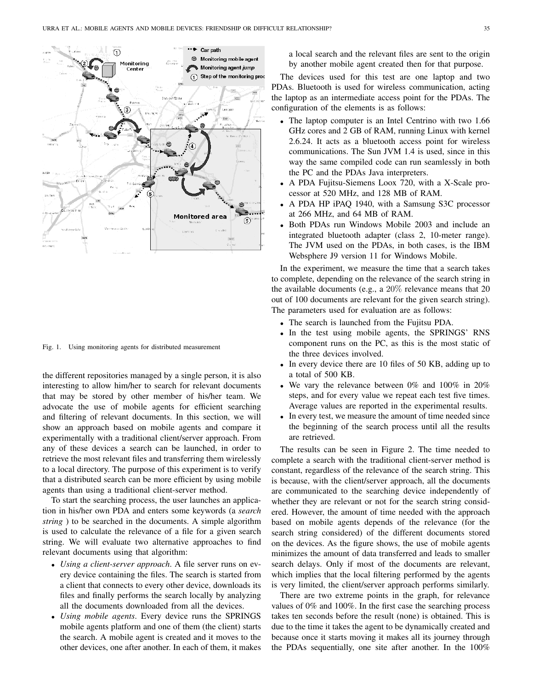



the different repositories managed by a single person, it is also interesting to allow him/her to search for relevant documents that may be stored by other member of his/her team. We advocate the use of mobile agents for efficient searching and filtering of relevant documents. In this section, we will show an approach based on mobile agents and compare it experimentally with a traditional client/server approach. From any of these devices a search can be launched, in order to retrieve the most relevant files and transferring them wirelessly to a local directory. The purpose of this experiment is to verify that a distributed search can be more efficient by using mobile agents than using a traditional client-server method.

To start the searching process, the user launches an application in his/her own PDA and enters some keywords (a *search string* ) to be searched in the documents. A simple algorithm is used to calculate the relevance of a file for a given search string. We will evaluate two alternative approaches to find relevant documents using that algorithm:

- *Using a client-server approach*. A file server runs on every device containing the files. The search is started from a client that connects to every other device, downloads its files and finally performs the search locally by analyzing all the documents downloaded from all the devices.
- *Using mobile agents*. Every device runs the SPRINGS mobile agents platform and one of them (the client) starts the search. A mobile agent is created and it moves to the other devices, one after another. In each of them, it makes

a local search and the relevant files are sent to the origin by another mobile agent created then for that purpose.

The devices used for this test are one laptop and two PDAs. Bluetooth is used for wireless communication, acting the laptop as an intermediate access point for the PDAs. The configuration of the elements is as follows:

- The laptop computer is an Intel Centrino with two 1.66 GHz cores and 2 GB of RAM, running Linux with kernel 2.6.24. It acts as a bluetooth access point for wireless communications. The Sun JVM 1.4 is used, since in this way the same compiled code can run seamlessly in both the PC and the PDAs Java interpreters.
- A PDA Fujitsu-Siemens Loox 720, with a X-Scale processor at 520 MHz, and 128 MB of RAM.
- A PDA HP iPAQ 1940, with a Samsung S3C processor at 266 MHz, and 64 MB of RAM.
- Both PDAs run Windows Mobile 2003 and include an integrated bluetooth adapter (class 2, 10-meter range). The JVM used on the PDAs, in both cases, is the IBM Websphere J9 version 11 for Windows Mobile.

In the experiment, we measure the time that a search takes to complete, depending on the relevance of the search string in the available documents (e.g., a 20% relevance means that 20 out of 100 documents are relevant for the given search string). The parameters used for evaluation are as follows:

- The search is launched from the Fujitsu PDA.
- In the test using mobile agents, the SPRINGS' RNS component runs on the PC, as this is the most static of the three devices involved.
- In every device there are 10 files of 50 KB, adding up to a total of 500 KB.
- We vary the relevance between 0% and 100% in 20% steps, and for every value we repeat each test five times. Average values are reported in the experimental results.
- In every test, we measure the amount of time needed since the beginning of the search process until all the results are retrieved.

The results can be seen in Figure 2. The time needed to complete a search with the traditional client-server method is constant, regardless of the relevance of the search string. This is because, with the client/server approach, all the documents are communicated to the searching device independently of whether they are relevant or not for the search string considered. However, the amount of time needed with the approach based on mobile agents depends of the relevance (for the search string considered) of the different documents stored on the devices. As the figure shows, the use of mobile agents minimizes the amount of data transferred and leads to smaller search delays. Only if most of the documents are relevant, which implies that the local filtering performed by the agents is very limited, the client/server approach performs similarly.

There are two extreme points in the graph, for relevance values of 0% and 100%. In the first case the searching process takes ten seconds before the result (none) is obtained. This is due to the time it takes the agent to be dynamically created and because once it starts moving it makes all its journey through the PDAs sequentially, one site after another. In the 100%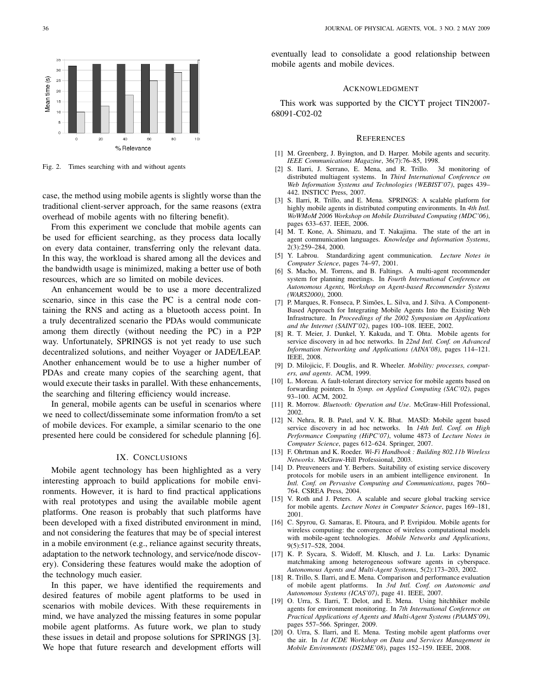eventually lead to consolidate a good relationship between mobile agents and mobile devices.

#### ACKNOWLEDGMENT

This work was supported by the CICYT project TIN2007- 68091-C02-02

#### **REFERENCES**

- [1] M. Greenberg, J. Byington, and D. Harper. Mobile agents and security. *IEEE Communications Magazine*, 36(7):76–85, 1998.
- [2] S. Ilarri, J. Serrano, E. Mena, and R. Trillo. 3d monitoring of distributed multiagent systems. In *Third International Conference on Web Information Systems and Technologies (WEBIST'07)*, pages 439– 442. INSTICC Press, 2007.
- [3] S. Ilarri, R. Trillo, and E. Mena. SPRINGS: A scalable platform for highly mobile agents in distributed computing environments. In *4th Intl. WoWMoM 2006 Workshop on Mobile Distributed Computing (MDC'06)*, pages 633–637. IEEE, 2006.
- [4] M. T. Kone, A. Shimazu, and T. Nakajima. The state of the art in agent communication languages. *Knowledge and Information Systems*, 2(3):259–284, 2000.
- [5] Y. Labrou. Standardizing agent communication. *Lecture Notes in Computer Science*, pages 74–97, 2001.
- [6] S. Macho, M. Torrens, and B. Faltings. A multi-agent recommender system for planning meetings. In *Fourth International Conference on Autonomous Agents, Workshop on Agent-based Recommender Systems (WARS2000)*, 2000.
- [7] P. Marques, R. Fonseca, P. Simões, L. Silva, and J. Silva. A Component-Based Approach for Integrating Mobile Agents Into the Existing Web Infrastructure. In *Proceedings of the 2002 Symposium on Applications and the Internet (SAINT'02)*, pages 100–108. IEEE, 2002.
- [8] R. T. Meier, J. Dunkel, Y. Kakuda, and T. Ohta. Mobile agents for service discovery in ad hoc networks. In *22nd Intl. Conf. on Advanced Information Networking and Applications (AINA'08)*, pages 114–121. IEEE, 2008.
- [9] D. Milojicic, F. Douglis, and R. Wheeler. *Mobility: processes, computers, and agents*. ACM, 1999.
- [10] L. Moreau. A fault-tolerant directory service for mobile agents based on forwarding pointers. In *Symp. on Applied Computing (SAC'02)*, pages 93–100. ACM, 2002.
- [11] R. Morrow. *Bluetooth: Operation and Use*. McGraw-Hill Professional, 2002.
- [12] N. Nehra, R. B. Patel, and V. K. Bhat. MASD: Mobile agent based service discovery in ad hoc networks. In *14th Intl. Conf. on High Performance Computing (HiPC'07)*, volume 4873 of *Lecture Notes in Computer Science*, pages 612–624. Springer, 2007.
- [13] F. Ohrtman and K. Roeder. *Wi-Fi Handbook : Building 802.11b Wireless Networks*. McGraw-Hill Professional, 2003.
- [14] D. Preuveneers and Y. Berbers. Suitability of existing service discovery protocols for mobile users in an ambient intelligence environent. In *Intl. Conf. on Pervasive Computing and Communications*, pages 760– 764. CSREA Press, 2004.
- [15] V. Roth and J. Peters. A scalable and secure global tracking service for mobile agents. *Lecture Notes in Computer Science*, pages 169–181, 2001.
- [16] C. Spyrou, G. Samaras, E. Pitoura, and P. Evripidou. Mobile agents for wireless computing: the convergence of wireless computational models with mobile-agent technologies. *Mobile Networks and Applications*, 9(5):517–528, 2004.
- [17] K. P. Sycara, S. Widoff, M. Klusch, and J. Lu. Larks: Dynamic matchmaking among heterogeneous software agents in cyberspace. *Autonomous Agents and Multi-Agent Systems*, 5(2):173–203, 2002.
- [18] R. Trillo, S. Ilarri, and E. Mena. Comparison and performance evaluation of mobile agent platforms. In *3rd Intl. Conf. on Autonomic and Autonomous Systems (ICAS'07)*, page 41. IEEE, 2007.
- [19] O. Urra, S. Ilarri, T. Delot, and E. Mena. Using hitchhiker mobile agents for environment monitoring. In *7th International Conference on Practical Applications of Agents and Multi-Agent Systems (PAAMS'09)*, pages 557–566. Springer, 2009.
- [20] O. Urra, S. Ilarri, and E. Mena. Testing mobile agent platforms over the air. In *1st ICDE Workshop on Data and Services Management in Mobile Environments (DS2ME'08)*, pages 152–159. IEEE, 2008.

Fig. 2. Times searching with and without agents

case, the method using mobile agents is slightly worse than the traditional client-server approach, for the same reasons (extra overhead of mobile agents with no filtering benefit).

From this experiment we conclude that mobile agents can be used for efficient searching, as they process data locally on every data container, transferring only the relevant data. In this way, the workload is shared among all the devices and the bandwidth usage is minimized, making a better use of both resources, which are so limited on mobile devices.

An enhancement would be to use a more decentralized scenario, since in this case the PC is a central node containing the RNS and acting as a bluetooth access point. In a truly decentralized scenario the PDAs would communicate among them directly (without needing the PC) in a P2P way. Unfortunately, SPRINGS is not yet ready to use such decentralized solutions, and neither Voyager or JADE/LEAP. Another enhancement would be to use a higher number of PDAs and create many copies of the searching agent, that would execute their tasks in parallel. With these enhancements, the searching and filtering efficiency would increase.

In general, mobile agents can be useful in scenarios where we need to collect/disseminate some information from/to a set of mobile devices. For example, a similar scenario to the one presented here could be considered for schedule planning [6].

#### IX. CONCLUSIONS

Mobile agent technology has been highlighted as a very interesting approach to build applications for mobile environments. However, it is hard to find practical applications with real prototypes and using the available mobile agent platforms. One reason is probably that such platforms have been developed with a fixed distributed environment in mind, and not considering the features that may be of special interest in a mobile environment (e.g., reliance against security threats, adaptation to the network technology, and service/node discovery). Considering these features would make the adoption of the technology much easier.

In this paper, we have identified the requirements and desired features of mobile agent platforms to be used in scenarios with mobile devices. With these requirements in mind, we have analyzed the missing features in some popular mobile agent platforms. As future work, we plan to study these issues in detail and propose solutions for SPRINGS [3]. We hope that future research and development efforts will